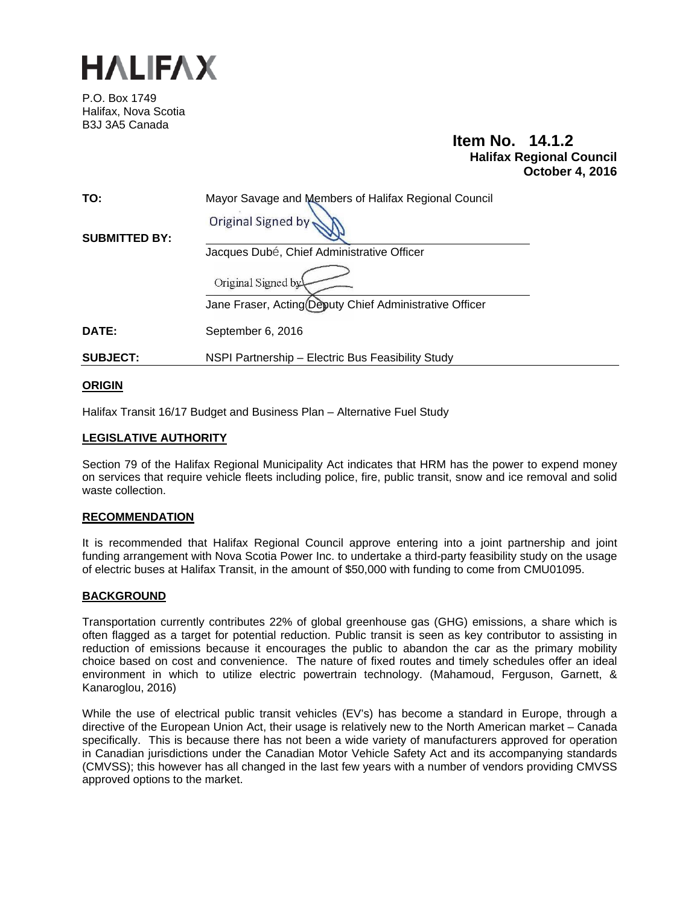

P.O. Box 1749 Halifax, Nova Scotia B3J 3A5 Canada

# **Item No. 14.1.2 Halifax Regional Council October 4, 2016**

| TO:                  | Mayor Savage and Members of Halifax Regional Council    |
|----------------------|---------------------------------------------------------|
|                      | Original Signed by                                      |
| <b>SUBMITTED BY:</b> |                                                         |
|                      | Jacques Dubé, Chief Administrative Officer              |
|                      | Original Signed by                                      |
|                      | Jane Fraser, Acting Deputy Chief Administrative Officer |
| DATE:                | September 6, 2016                                       |
| <b>SUBJECT:</b>      | NSPI Partnership - Electric Bus Feasibility Study       |
|                      |                                                         |

# **ORIGIN**

Halifax Transit 16/17 Budget and Business Plan – Alternative Fuel Study

# **LEGISLATIVE AUTHORITY**

Section 79 of the Halifax Regional Municipality Act indicates that HRM has the power to expend money on services that require vehicle fleets including police, fire, public transit, snow and ice removal and solid waste collection.

#### **RECOMMENDATION**

It is recommended that Halifax Regional Council approve entering into a joint partnership and joint funding arrangement with Nova Scotia Power Inc. to undertake a third-party feasibility study on the usage of electric buses at Halifax Transit, in the amount of \$50,000 with funding to come from CMU01095.

#### **BACKGROUND**

Transportation currently contributes 22% of global greenhouse gas (GHG) emissions, a share which is often flagged as a target for potential reduction. Public transit is seen as key contributor to assisting in reduction of emissions because it encourages the public to abandon the car as the primary mobility choice based on cost and convenience. The nature of fixed routes and timely schedules offer an ideal environment in which to utilize electric powertrain technology. (Mahamoud, Ferguson, Garnett, & Kanaroglou, 2016)

While the use of electrical public transit vehicles (EV's) has become a standard in Europe, through a directive of the European Union Act, their usage is relatively new to the North American market – Canada specifically. This is because there has not been a wide variety of manufacturers approved for operation in Canadian jurisdictions under the Canadian Motor Vehicle Safety Act and its accompanying standards (CMVSS); this however has all changed in the last few years with a number of vendors providing CMVSS approved options to the market.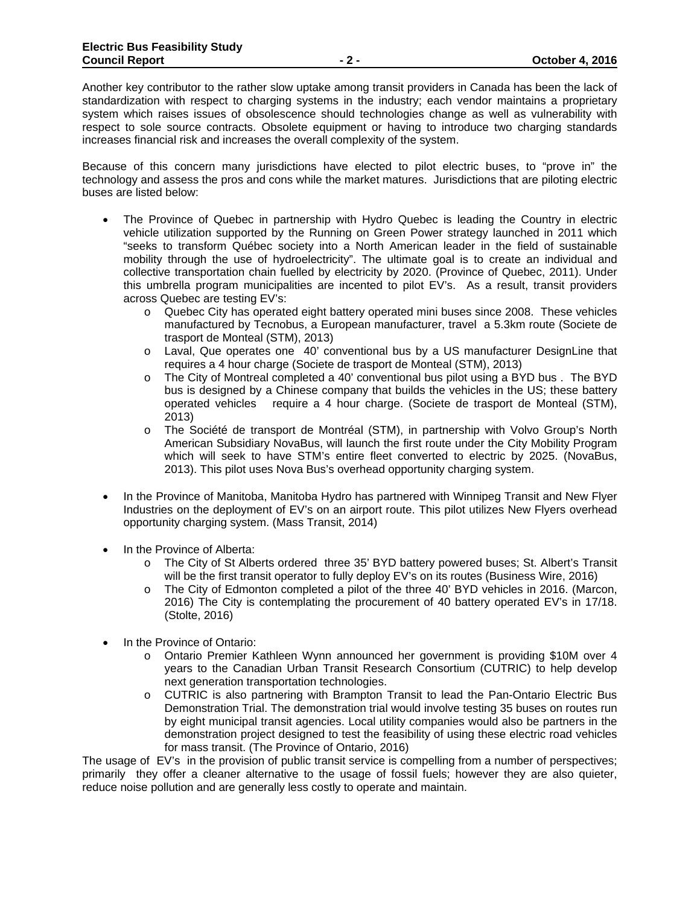Another key contributor to the rather slow uptake among transit providers in Canada has been the lack of standardization with respect to charging systems in the industry; each vendor maintains a proprietary system which raises issues of obsolescence should technologies change as well as vulnerability with respect to sole source contracts. Obsolete equipment or having to introduce two charging standards increases financial risk and increases the overall complexity of the system.

Because of this concern many jurisdictions have elected to pilot electric buses, to "prove in" the technology and assess the pros and cons while the market matures. Jurisdictions that are piloting electric buses are listed below:

- The Province of Quebec in partnership with Hydro Quebec is leading the Country in electric vehicle utilization supported by the Running on Green Power strategy launched in 2011 which "seeks to transform Québec society into a North American leader in the field of sustainable mobility through the use of hydroelectricity". The ultimate goal is to create an individual and collective transportation chain fuelled by electricity by 2020. (Province of Quebec, 2011). Under this umbrella program municipalities are incented to pilot EV's. As a result, transit providers across Quebec are testing EV's:
	- o Quebec City has operated eight battery operated mini buses since 2008. These vehicles manufactured by Tecnobus, a European manufacturer, travel a 5.3km route (Societe de trasport de Monteal (STM), 2013)
	- o Laval, Que operates one 40' conventional bus by a US manufacturer DesignLine that requires a 4 hour charge (Societe de trasport de Monteal (STM), 2013)
	- o The City of Montreal completed a 40' conventional bus pilot using a BYD bus . The BYD bus is designed by a Chinese company that builds the vehicles in the US; these battery operated vehicles require a 4 hour charge. (Societe de trasport de Monteal (STM), 2013)
	- o The Société de transport de Montréal (STM), in partnership with Volvo Group's North American Subsidiary NovaBus, will launch the first route under the City Mobility Program which will seek to have STM's entire fleet converted to electric by 2025. (NovaBus, 2013). This pilot uses Nova Bus's overhead opportunity charging system.
- In the Province of Manitoba, Manitoba Hydro has partnered with Winnipeg Transit and New Flyer Industries on the deployment of EV's on an airport route. This pilot utilizes New Flyers overhead opportunity charging system. (Mass Transit, 2014)
- In the Province of Alberta:
	- o The City of St Alberts ordered three 35' BYD battery powered buses; St. Albert's Transit will be the first transit operator to fully deploy EV's on its routes (Business Wire, 2016)
	- o The City of Edmonton completed a pilot of the three 40' BYD vehicles in 2016. (Marcon, 2016) The City is contemplating the procurement of 40 battery operated EV's in 17/18. (Stolte, 2016)
- In the Province of Ontario:
	- o Ontario Premier Kathleen Wynn announced her government is providing \$10M over 4 years to the Canadian Urban Transit Research Consortium (CUTRIC) to help develop next generation transportation technologies.
	- o CUTRIC is also partnering with Brampton Transit to lead the Pan-Ontario Electric Bus Demonstration Trial. The demonstration trial would involve testing 35 buses on routes run by eight municipal transit agencies. Local utility companies would also be partners in the demonstration project designed to test the feasibility of using these electric road vehicles for mass transit. (The Province of Ontario, 2016)

The usage of EV's in the provision of public transit service is compelling from a number of perspectives; primarily they offer a cleaner alternative to the usage of fossil fuels; however they are also quieter, reduce noise pollution and are generally less costly to operate and maintain.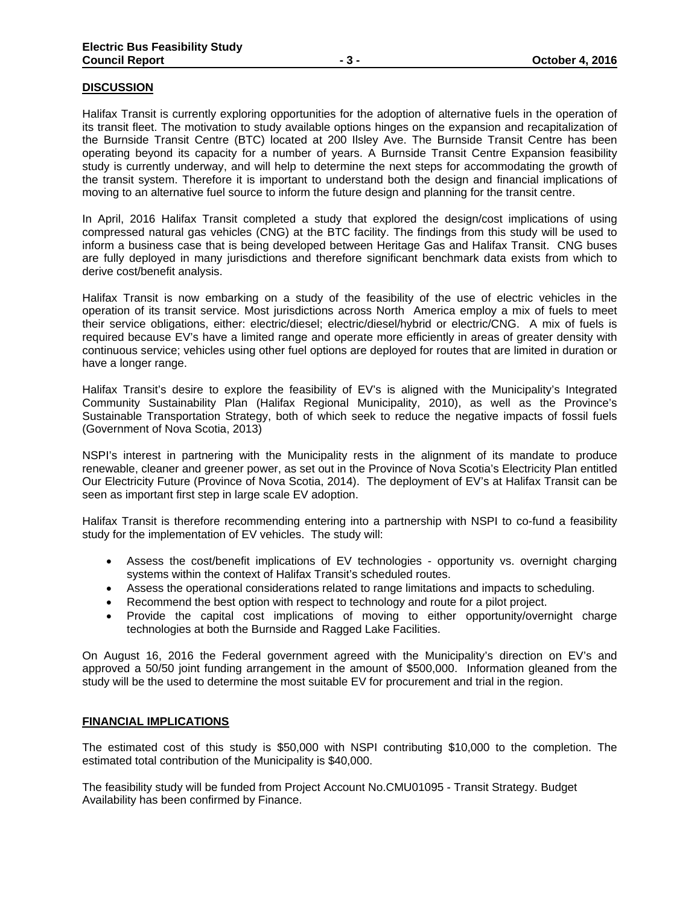#### **DISCUSSION**

Halifax Transit is currently exploring opportunities for the adoption of alternative fuels in the operation of its transit fleet. The motivation to study available options hinges on the expansion and recapitalization of the Burnside Transit Centre (BTC) located at 200 Ilsley Ave. The Burnside Transit Centre has been operating beyond its capacity for a number of years. A Burnside Transit Centre Expansion feasibility study is currently underway, and will help to determine the next steps for accommodating the growth of the transit system. Therefore it is important to understand both the design and financial implications of moving to an alternative fuel source to inform the future design and planning for the transit centre.

In April, 2016 Halifax Transit completed a study that explored the design/cost implications of using compressed natural gas vehicles (CNG) at the BTC facility. The findings from this study will be used to inform a business case that is being developed between Heritage Gas and Halifax Transit. CNG buses are fully deployed in many jurisdictions and therefore significant benchmark data exists from which to derive cost/benefit analysis.

Halifax Transit is now embarking on a study of the feasibility of the use of electric vehicles in the operation of its transit service. Most jurisdictions across North America employ a mix of fuels to meet their service obligations, either: electric/diesel; electric/diesel/hybrid or electric/CNG. A mix of fuels is required because EV's have a limited range and operate more efficiently in areas of greater density with continuous service; vehicles using other fuel options are deployed for routes that are limited in duration or have a longer range.

Halifax Transit's desire to explore the feasibility of EV's is aligned with the Municipality's Integrated Community Sustainability Plan (Halifax Regional Municipality, 2010), as well as the Province's Sustainable Transportation Strategy, both of which seek to reduce the negative impacts of fossil fuels (Government of Nova Scotia, 2013)

NSPI's interest in partnering with the Municipality rests in the alignment of its mandate to produce renewable, cleaner and greener power, as set out in the Province of Nova Scotia's Electricity Plan entitled Our Electricity Future (Province of Nova Scotia, 2014). The deployment of EV's at Halifax Transit can be seen as important first step in large scale EV adoption.

Halifax Transit is therefore recommending entering into a partnership with NSPI to co-fund a feasibility study for the implementation of EV vehicles. The study will:

- Assess the cost/benefit implications of EV technologies opportunity vs. overnight charging systems within the context of Halifax Transit's scheduled routes.
- Assess the operational considerations related to range limitations and impacts to scheduling.
- Recommend the best option with respect to technology and route for a pilot project.
- Provide the capital cost implications of moving to either opportunity/overnight charge technologies at both the Burnside and Ragged Lake Facilities.

On August 16, 2016 the Federal government agreed with the Municipality's direction on EV's and approved a 50/50 joint funding arrangement in the amount of \$500,000. Information gleaned from the study will be the used to determine the most suitable EV for procurement and trial in the region.

#### **FINANCIAL IMPLICATIONS**

The estimated cost of this study is \$50,000 with NSPI contributing \$10,000 to the completion. The estimated total contribution of the Municipality is \$40,000.

The feasibility study will be funded from Project Account No.CMU01095 - Transit Strategy. Budget Availability has been confirmed by Finance.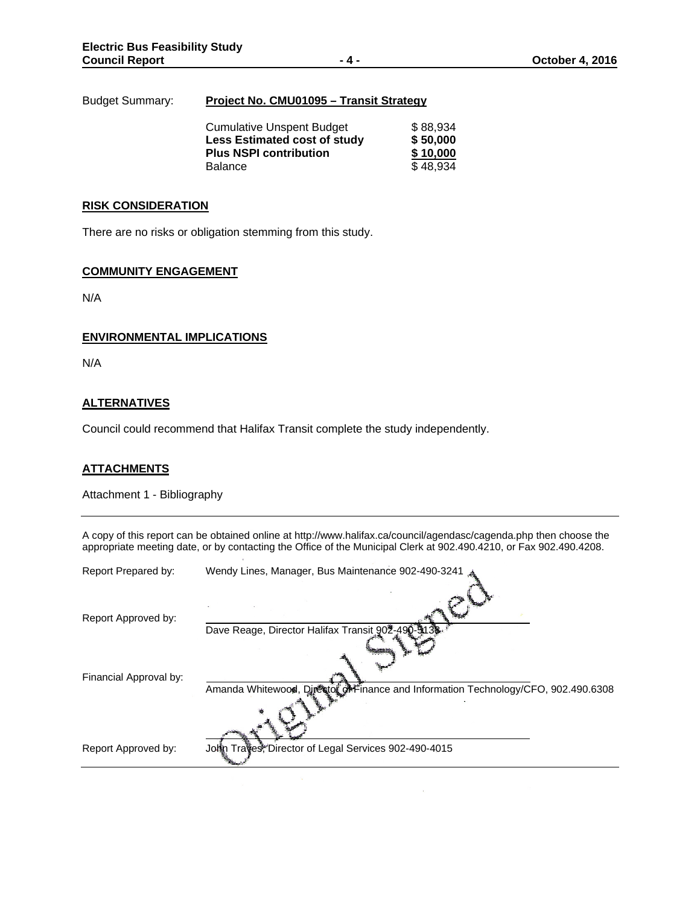### Budget Summary: **Project No. CMU01095 – Transit Strategy**

| <b>Cumulative Unspent Budget</b><br><b>Less Estimated cost of study</b><br><b>Plus NSPI contribution</b><br><b>Balance</b> | \$88.934<br>\$50,000<br>\$10,000<br>\$48.934 |
|----------------------------------------------------------------------------------------------------------------------------|----------------------------------------------|
|                                                                                                                            |                                              |

#### **RISK CONSIDERATION**

There are no risks or obligation stemming from this study.

#### **COMMUNITY ENGAGEMENT**

N/A

#### **ENVIRONMENTAL IMPLICATIONS**

N/A

# **ALTERNATIVES**

Council could recommend that Halifax Transit complete the study independently.

### **ATTACHMENTS**

Attachment 1 - Bibliography

A copy of this report can be obtained online at http://www.halifax.ca/council/agendasc/cagenda.php then choose the appropriate meeting date, or by contacting the Office of the Municipal Clerk at 902.490.4210, or Fax 902.490.4208.

| Report Prepared by:    | Wendy Lines, Manager, Bus Maintenance 902-490-3241                                 |
|------------------------|------------------------------------------------------------------------------------|
| Report Approved by:    | Dave Reage, Director Halifax Transit 902-490-3133-                                 |
| Financial Approval by: | Amanda Whitewood, Director of Finance and Information Technology/CFO, 902.490.6308 |
|                        |                                                                                    |
| Report Approved by:    | John Traves, Director of Legal Services 902-490-4015                               |